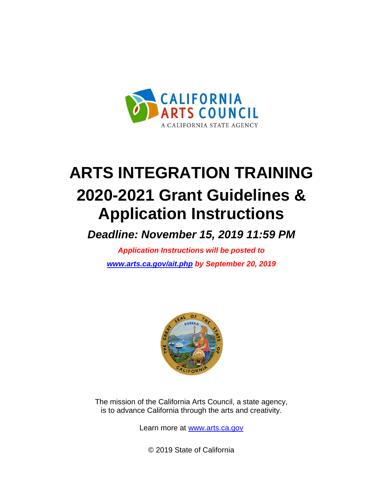

# **ARTS INTEGRATION TRAINING 2020-2021 Grant Guidelines & Application Instructions**

*Deadline: November 15, 2019 11:59 PM*

*Application Instructions will be posted to [www.arts.ca.gov/ait.php](http://www.arts.ca.gov/ait.php) by September 20, 2019*



The mission of the California Arts Council, a state agency, is to advance California through the arts and creativity.

Learn more at [www.arts.ca.gov](http://www.arts.ca.gov/)

© 2019 State of California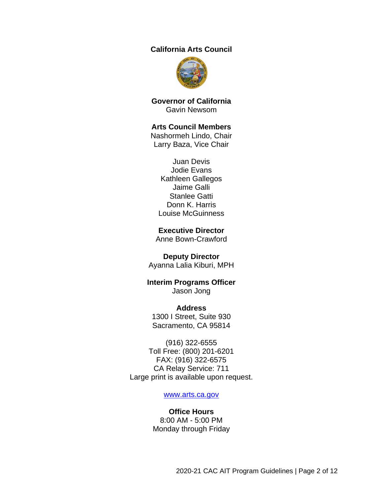#### **California Arts Council**



**Governor of California** Gavin Newsom

#### **Arts Council Members**

Nashormeh Lindo, Chair Larry Baza, Vice Chair

Juan Devis Jodie Evans Kathleen Gallegos Jaime Galli Stanlee Gatti Donn K. Harris Louise McGuinness

#### **Executive Director**

Anne Bown-Crawford

#### **Deputy Director**

Ayanna Lalia Kiburi, MPH

#### **Interim Programs Officer** Jason Jong

**Address** 1300 I Street, Suite 930 Sacramento, CA 95814

(916) 322-6555 Toll Free: (800) 201-6201 FAX: (916) 322-6575 CA Relay Service: 711 Large print is available upon request.

#### [www.arts.ca.gov](http://www.arts.ca.gov/)

#### **Office Hours** 8:00 AM - 5:00 PM Monday through Friday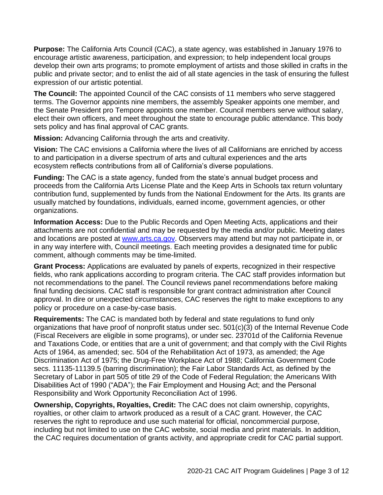**Purpose:** The California Arts Council (CAC), a state agency, was established in January 1976 to encourage artistic awareness, participation, and expression; to help independent local groups develop their own arts programs; to promote employment of artists and those skilled in crafts in the public and private sector; and to enlist the aid of all state agencies in the task of ensuring the fullest expression of our artistic potential.

**The Council:** The appointed Council of the CAC consists of 11 members who serve staggered terms. The Governor appoints nine members, the assembly Speaker appoints one member, and the Senate President pro Tempore appoints one member. Council members serve without salary, elect their own officers, and meet throughout the state to encourage public attendance. This body sets policy and has final approval of CAC grants.

**Mission:** Advancing California through the arts and creativity.

**Vision:** The CAC envisions a California where the lives of all Californians are enriched by access to and participation in a diverse spectrum of arts and cultural experiences and the arts ecosystem reflects contributions from all of California's diverse populations.

**Funding:** The CAC is a state agency, funded from the state's annual budget process and proceeds from the California Arts License Plate and the Keep Arts in Schools tax return voluntary contribution fund, supplemented by funds from the National Endowment for the Arts. Its grants are usually matched by foundations, individuals, earned income, government agencies, or other organizations.

**Information Access:** Due to the Public Records and Open Meeting Acts, applications and their attachments are not confidential and may be requested by the media and/or public. Meeting dates and locations are posted at [www.arts.ca.gov.](http://www.arts.ca.gov/) Observers may attend but may not participate in, or in any way interfere with, Council meetings. Each meeting provides a designated time for public comment, although comments may be time-limited.

**Grant Process:** Applications are evaluated by panels of experts, recognized in their respective fields, who rank applications according to program criteria. The CAC staff provides information but not recommendations to the panel. The Council reviews panel recommendations before making final funding decisions. CAC staff is responsible for grant contract administration after Council approval. In dire or unexpected circumstances, CAC reserves the right to make exceptions to any policy or procedure on a case-by-case basis.

<span id="page-2-0"></span>**Requirements:** The CAC is mandated both by federal and state regulations to fund only organizations that have proof of nonprofit status under sec. 501(c)(3) of the Internal Revenue Code (Fiscal Receivers are eligible in some programs), or under sec. 23701d of the California Revenue and Taxations Code, or entities that are a unit of government; and that comply with the Civil Rights Acts of 1964, as amended; sec. 504 of the Rehabilitation Act of 1973, as amended; the Age Discrimination Act of 1975; the Drug-Free Workplace Act of 1988; California Government Code secs. 11135-11139.5 (barring discrimination); the Fair Labor Standards Act, as defined by the Secretary of Labor in part 505 of title 29 of the Code of Federal Regulation; the Americans With Disabilities Act of 1990 ("ADA"); the Fair Employment and Housing Act; and the Personal Responsibility and Work Opportunity Reconciliation Act of 1996.

**Ownership, Copyrights, Royalties, Credit:** The CAC does not claim ownership, copyrights, royalties, or other claim to artwork produced as a result of a CAC grant. However, the CAC reserves the right to reproduce and use such material for official, noncommercial purpose, including but not limited to use on the CAC website, social media and print materials. In addition, the CAC requires documentation of grants activity, and appropriate credit for CAC partial support.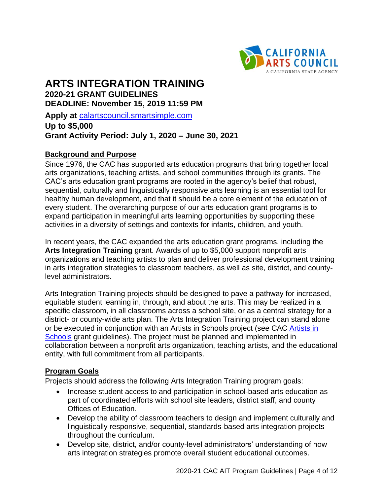

# **ARTS INTEGRATION TRAINING 2020-21 GRANT GUIDELINES DEADLINE: November 15, 2019 11:59 PM**

**Apply at** [calartscouncil.smartsimple.com](https://calartscouncil.smartsimple.com/s_Login.jsp)

# **Up to \$5,000 Grant Activity Period: July 1, 2020 – June 30, 2021**

#### **Background and Purpose**

Since 1976, the CAC has supported arts education programs that bring together local arts organizations, teaching artists, and school communities through its grants. The CAC's arts education grant programs are rooted in the agency's belief that robust, sequential, culturally and linguistically responsive arts learning is an essential tool for healthy human development, and that it should be a core element of the education of every student. The overarching purpose of our arts education grant programs is to expand participation in meaningful arts learning opportunities by supporting these activities in a diversity of settings and contexts for infants, children, and youth.

In recent years, the CAC expanded the arts education grant programs, including the **Arts Integration Training** grant. Awards of up to \$5,000 support nonprofit arts organizations and teaching artists to plan and deliver professional development training in arts integration strategies to classroom teachers, as well as site, district, and countylevel administrators.

Arts Integration Training projects should be designed to pave a pathway for increased, equitable student learning in, through, and about the arts. This may be realized in a specific classroom, in all classrooms across a school site, or as a central strategy for a district- or county-wide arts plan. The Arts Integration Training project can stand alone or be executed in conjunction with an Artists in Schools project (see CAC [Artists in](http://arts.ca.gov/programs/ais.php)  [Schools](http://arts.ca.gov/programs/ais.php) grant guidelines). The project must be planned and implemented in collaboration between a nonprofit arts organization, teaching artists, and the educational entity, with full commitment from all participants.

## **Program Goals**

Projects should address the following Arts Integration Training program goals:

- Increase student access to and participation in school-based arts education as part of coordinated efforts with school site leaders, district staff, and county Offices of Education.
- Develop the ability of classroom teachers to design and implement culturally and linguistically responsive, sequential, standards-based arts integration projects throughout the curriculum.
- Develop site, district, and/or county-level administrators' understanding of how arts integration strategies promote overall student educational outcomes.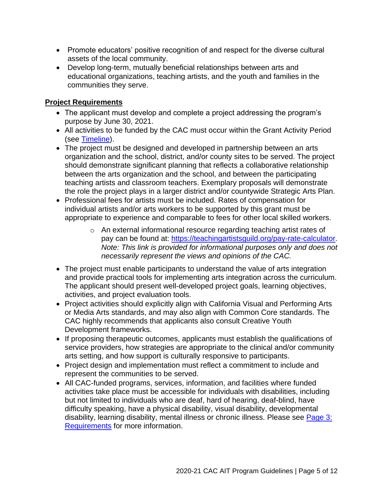- Promote educators' positive recognition of and respect for the diverse cultural assets of the local community.
- Develop long-term, mutually beneficial relationships between arts and educational organizations, teaching artists, and the youth and families in the communities they serve.

# **Project Requirements**

- The applicant must develop and complete a project addressing the program's purpose by June 30, 2021.
- All activities to be funded by the CAC must occur within the Grant Activity Period (see [Timeline\)](#page-9-0).
- The project must be designed and developed in partnership between an arts organization and the school, district, and/or county sites to be served. The project should demonstrate significant planning that reflects a collaborative relationship between the arts organization and the school, and between the participating teaching artists and classroom teachers. Exemplary proposals will demonstrate the role the project plays in a larger district and/or countywide Strategic Arts Plan.
- Professional fees for artists must be included. Rates of compensation for individual artists and/or arts workers to be supported by this grant must be appropriate to experience and comparable to fees for other local skilled workers.
	- o An external informational resource regarding teaching artist rates of pay can be found at: [https://teachingartistsguild.org/pay-rate-calculator.](https://teachingartistsguild.org/pay-rate-calculator/) *Note: This link is provided for informational purposes only and does not necessarily represent the views and opinions of the CAC.*
- The project must enable participants to understand the value of arts integration and provide practical tools for implementing arts integration across the curriculum. The applicant should present well-developed project goals, learning objectives, activities, and project evaluation tools.
- Project activities should explicitly align with California Visual and Performing Arts or Media Arts standards, and may also align with Common Core standards. The CAC highly recommends that applicants also consult Creative Youth Development frameworks.
- If proposing therapeutic outcomes, applicants must establish the qualifications of service providers, how strategies are appropriate to the clinical and/or community arts setting, and how support is culturally responsive to participants.
- Project design and implementation must reflect a commitment to include and represent the communities to be served.
- All CAC-funded programs, services, information, and facilities where funded activities take place must be accessible for individuals with disabilities, including but not limited to individuals who are deaf, hard of hearing, deaf-blind, have difficulty speaking, have a physical disability, visual disability, developmental disability, learning disability, mental illness or chronic illness. Please see Page 3: [Requirements](#page-2-0) for more information.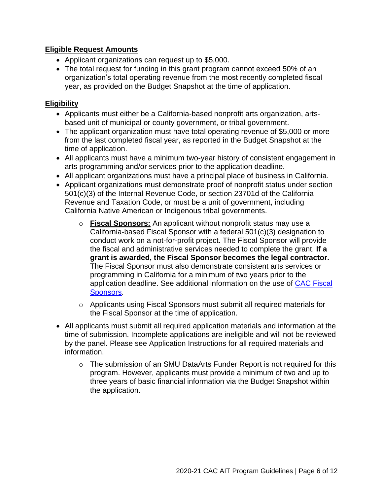#### **Eligible Request Amounts**

- Applicant organizations can request up to \$5,000.
- The total request for funding in this grant program cannot exceed 50% of an organization's total operating revenue from the most recently completed fiscal year, as provided on the Budget Snapshot at the time of application.

#### **Eligibility**

- Applicants must either be a California-based nonprofit arts organization, artsbased unit of municipal or county government, or tribal government.
- The applicant organization must have total operating revenue of \$5,000 or more from the last completed fiscal year, as reported in the Budget Snapshot at the time of application.
- All applicants must have a minimum two-year history of consistent engagement in arts programming and/or services prior to the application deadline.
- All applicant organizations must have a principal place of business in California.
- Applicant organizations must demonstrate proof of nonprofit status under section 501(c)(3) of the Internal Revenue Code, or section 23701d of the California Revenue and Taxation Code, or must be a unit of government, including California Native American or Indigenous tribal governments.
	- o **Fiscal Sponsors:** An applicant without nonprofit status may use a California-based Fiscal Sponsor with a federal 501(c)(3) designation to conduct work on a not-for-profit project. The Fiscal Sponsor will provide the fiscal and administrative services needed to complete the grant. **If a grant is awarded, the Fiscal Sponsor becomes the legal contractor.** The Fiscal Sponsor must also demonstrate consistent arts services or programming in California for a minimum of two years prior to the application deadline. See additional information on the use of [CAC Fiscal](http://arts.ca.gov/programs/program_files/shared_files/CAC%20Fiscal%20Sponsor%20Information.pdf)  [Sponsors.](http://arts.ca.gov/programs/program_files/shared_files/CAC%20Fiscal%20Sponsor%20Information.pdf)
	- $\circ$  Applicants using Fiscal Sponsors must submit all required materials for the Fiscal Sponsor at the time of application.
- All applicants must submit all required application materials and information at the time of submission. Incomplete applications are ineligible and will not be reviewed by the panel. Please see Application Instructions for all required materials and information.
	- o The submission of an SMU DataArts Funder Report is not required for this program. However, applicants must provide a minimum of two and up to three years of basic financial information via the Budget Snapshot within the application.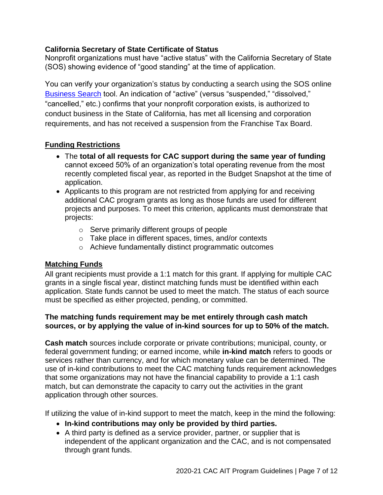#### **California Secretary of State Certificate of Status**

Nonprofit organizations must have "active status" with the California Secretary of State (SOS) showing evidence of "good standing" at the time of application.

You can verify your organization's status by conducting a search using the SOS online [Business Search](https://businesssearch.sos.ca.gov/) tool. An indication of "active" (versus "suspended," "dissolved," "cancelled," etc.) confirms that your nonprofit corporation exists, is authorized to conduct business in the State of California, has met all licensing and corporation requirements, and has not received a suspension from the Franchise Tax Board.

## **Funding Restrictions**

- The **total of all requests for CAC support during the same year of funding** cannot exceed 50% of an organization's total operating revenue from the most recently completed fiscal year, as reported in the Budget Snapshot at the time of application.
- Applicants to this program are not restricted from applying for and receiving additional CAC program grants as long as those funds are used for different projects and purposes. To meet this criterion, applicants must demonstrate that projects:
	- o Serve primarily different groups of people
	- o Take place in different spaces, times, and/or contexts
	- o Achieve fundamentally distinct programmatic outcomes

## **Matching Funds**

All grant recipients must provide a 1:1 match for this grant. If applying for multiple CAC grants in a single fiscal year, distinct matching funds must be identified within each application. State funds cannot be used to meet the match. The status of each source must be specified as either projected, pending, or committed.

#### **The matching funds requirement may be met entirely through cash match sources, or by applying the value of in-kind sources for up to 50% of the match.**

**Cash match** sources include corporate or private contributions; municipal, county, or federal government funding; or earned income, while **in-kind match** refers to goods or services rather than currency, and for which monetary value can be determined. The use of in-kind contributions to meet the CAC matching funds requirement acknowledges that some organizations may not have the financial capability to provide a 1:1 cash match, but can demonstrate the capacity to carry out the activities in the grant application through other sources.

If utilizing the value of in-kind support to meet the match, keep in the mind the following:

- **In-kind contributions may only be provided by third parties.**
- A third party is defined as a service provider, partner, or supplier that is independent of the applicant organization and the CAC, and is not compensated through grant funds.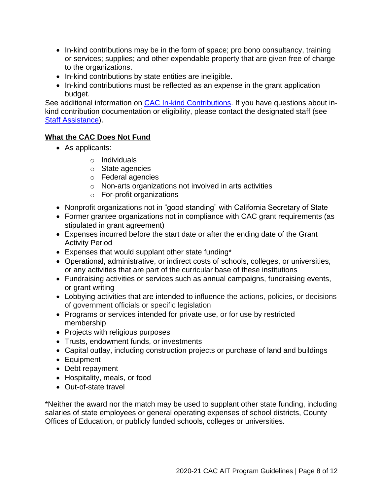- In-kind contributions may be in the form of space; pro bono consultancy, training or services; supplies; and other expendable property that are given free of charge to the organizations.
- In-kind contributions by state entities are ineligible.
- In-kind contributions must be reflected as an expense in the grant application budget.

See additional information on **CAC In-kind Contributions**. If you have questions about inkind contribution documentation or eligibility, please contact the designated staff (see [Staff Assistance\)](#page-10-0).

#### **What the CAC Does Not Fund**

- As applicants:
	- o Individuals
	- o State agencies
	- o Federal agencies
	- o Non-arts organizations not involved in arts activities
	- o For-profit organizations
- Nonprofit organizations not in "good standing" with California Secretary of State
- Former grantee organizations not in compliance with CAC grant requirements (as stipulated in grant agreement)
- Expenses incurred before the start date or after the ending date of the Grant Activity Period
- Expenses that would supplant other state funding\*
- Operational, administrative, or indirect costs of schools, colleges, or universities, or any activities that are part of the curricular base of these institutions
- Fundraising activities or services such as annual campaigns, fundraising events, or grant writing
- Lobbying activities that are intended to influence the actions, policies, or decisions of government officials or specific legislation
- Programs or services intended for private use, or for use by restricted membership
- Projects with religious purposes
- Trusts, endowment funds, or investments
- Capital outlay, including construction projects or purchase of land and buildings
- Equipment
- Debt repayment
- Hospitality, meals, or food
- Out-of-state travel

\*Neither the award nor the match may be used to supplant other state funding, including salaries of state employees or general operating expenses of school districts, County Offices of Education, or publicly funded schools, colleges or universities.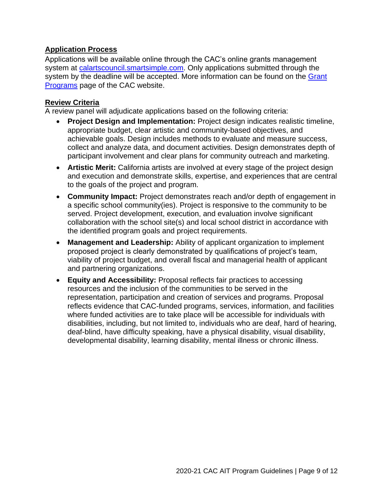## **Application Process**

Applications will be available online through the CAC's online grants management system at [calartscouncil.smartsimple.com.](https://calartscouncil.smartsimple.com/s_Login.jsp) Only applications submitted through the system by the deadline will be accepted. More information can be found on the Grant [Programs](http://arts.ca.gov/programs/app.php) page of the CAC website.

## **Review Criteria**

A review panel will adjudicate applications based on the following criteria:

- **Project Design and Implementation:** Project design indicates realistic timeline, appropriate budget, clear artistic and community-based objectives, and achievable goals. Design includes methods to evaluate and measure success, collect and analyze data, and document activities. Design demonstrates depth of participant involvement and clear plans for community outreach and marketing.
- **Artistic Merit:** California artists are involved at every stage of the project design and execution and demonstrate skills, expertise, and experiences that are central to the goals of the project and program.
- **Community Impact:** Project demonstrates reach and/or depth of engagement in a specific school community(ies). Project is responsive to the community to be served. Project development, execution, and evaluation involve significant collaboration with the school site(s) and local school district in accordance with the identified program goals and project requirements.
- **Management and Leadership:** Ability of applicant organization to implement proposed project is clearly demonstrated by qualifications of project's team, viability of project budget, and overall fiscal and managerial health of applicant and partnering organizations.
- **Equity and Accessibility:** Proposal reflects fair practices to accessing resources and the inclusion of the communities to be served in the representation, participation and creation of services and programs. Proposal reflects evidence that CAC-funded programs, services, information, and facilities where funded activities are to take place will be accessible for individuals with disabilities, including, but not limited to, individuals who are deaf, hard of hearing, deaf-blind, have difficulty speaking, have a physical disability, visual disability, developmental disability, learning disability, mental illness or chronic illness.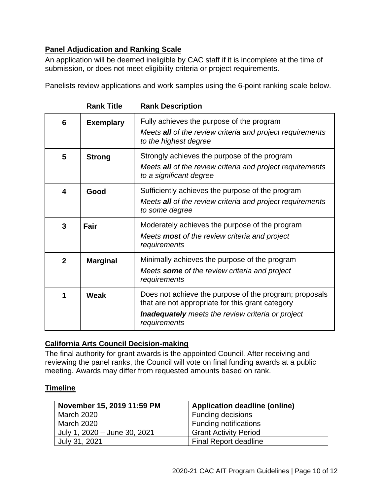# **Panel Adjudication and Ranking Scale**

An application will be deemed ineligible by CAC staff if it is incomplete at the time of submission, or does not meet eligibility criteria or project requirements.

Panelists review applications and work samples using the 6-point ranking scale below.

|                         | <b>Rank Title</b> | <b>Rank Description</b>                                                                                                                                                                |
|-------------------------|-------------------|----------------------------------------------------------------------------------------------------------------------------------------------------------------------------------------|
| 6                       | <b>Exemplary</b>  | Fully achieves the purpose of the program<br>Meets all of the review criteria and project requirements<br>to the highest degree                                                        |
| 5                       | <b>Strong</b>     | Strongly achieves the purpose of the program<br>Meets all of the review criteria and project requirements<br>to a significant degree                                                   |
| $\overline{\mathbf{4}}$ | Good              | Sufficiently achieves the purpose of the program<br>Meets all of the review criteria and project requirements<br>to some degree                                                        |
| 3                       | <b>Fair</b>       | Moderately achieves the purpose of the program<br>Meets <b>most</b> of the review criteria and project<br>requirements                                                                 |
| $\overline{2}$          | <b>Marginal</b>   | Minimally achieves the purpose of the program<br>Meets some of the review criteria and project<br>requirements                                                                         |
| 1                       | Weak              | Does not achieve the purpose of the program; proposals<br>that are not appropriate for this grant category<br><b>Inadequately</b> meets the review criteria or project<br>requirements |

## **California Arts Council Decision-making**

The final authority for grant awards is the appointed Council. After receiving and reviewing the panel ranks, the Council will vote on final funding awards at a public meeting. Awards may differ from requested amounts based on rank.

## <span id="page-9-0"></span>**Timeline**

| November 15, 2019 11:59 PM   | <b>Application deadline (online)</b> |
|------------------------------|--------------------------------------|
| <b>March 2020</b>            | <b>Funding decisions</b>             |
| <b>March 2020</b>            | <b>Funding notifications</b>         |
| July 1, 2020 - June 30, 2021 | <b>Grant Activity Period</b>         |
| July 31, 2021                | <b>Final Report deadline</b>         |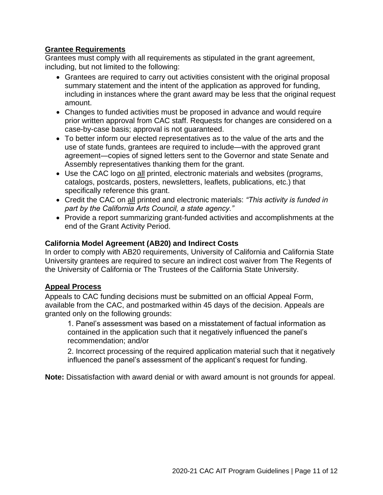#### **Grantee Requirements**

Grantees must comply with all requirements as stipulated in the grant agreement, including, but not limited to the following:

- Grantees are required to carry out activities consistent with the original proposal summary statement and the intent of the application as approved for funding, including in instances where the grant award may be less that the original request amount.
- Changes to funded activities must be proposed in advance and would require prior written approval from CAC staff. Requests for changes are considered on a case-by-case basis; approval is not guaranteed.
- To better inform our elected representatives as to the value of the arts and the use of state funds, grantees are required to include—with the approved grant agreement—copies of signed letters sent to the Governor and state Senate and Assembly representatives thanking them for the grant.
- Use the CAC logo on all printed, electronic materials and websites (programs, catalogs, postcards, posters, newsletters, leaflets, publications, etc.) that specifically reference this grant.
- Credit the CAC on all printed and electronic materials: *"This activity is funded in part by the California Arts Council, a state agency."*
- Provide a report summarizing grant-funded activities and accomplishments at the end of the Grant Activity Period.

#### **California Model Agreement (AB20) and Indirect Costs**

In order to comply with AB20 requirements, University of California and California State University grantees are required to secure an indirect cost waiver from The Regents of the University of California or The Trustees of the California State University.

#### **Appeal Process**

Appeals to CAC funding decisions must be submitted on an official Appeal Form, available from the CAC, and postmarked within 45 days of the decision. Appeals are granted only on the following grounds:

1. Panel's assessment was based on a misstatement of factual information as contained in the application such that it negatively influenced the panel's recommendation; and/or

2. Incorrect processing of the required application material such that it negatively influenced the panel's assessment of the applicant's request for funding.

<span id="page-10-0"></span>**Note:** Dissatisfaction with award denial or with award amount is not grounds for appeal.